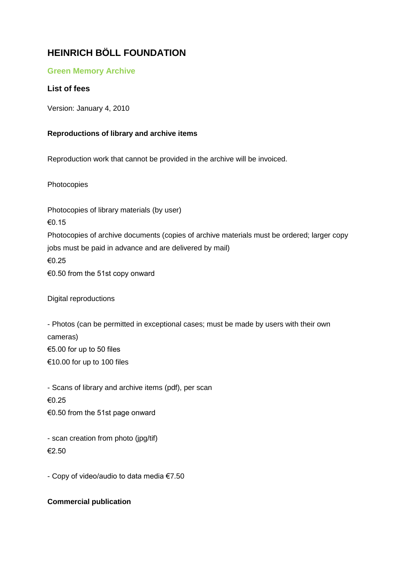# **HEINRICH BÖLL FOUNDATION**

## **Green Memory Archive**

## **List of fees**

Version: January 4, 2010

#### **Reproductions of library and archive items**

Reproduction work that cannot be provided in the archive will be invoiced.

Photocopies

Photocopies of library materials (by user) €0.15 Photocopies of archive documents (copies of archive materials must be ordered; larger copy jobs must be paid in advance and are delivered by mail) €0.25 €0.50 from the 51st copy onward

Digital reproductions

- Photos (can be permitted in exceptional cases; must be made by users with their own cameras) €5.00 for up to 50 files €10.00 for up to 100 files

- Scans of library and archive items (pdf), per scan €0.25 €0.50 from the 51st page onward

- scan creation from photo (jpg/tif) €2.50

- Copy of video/audio to data media €7.50

#### **Commercial publication**